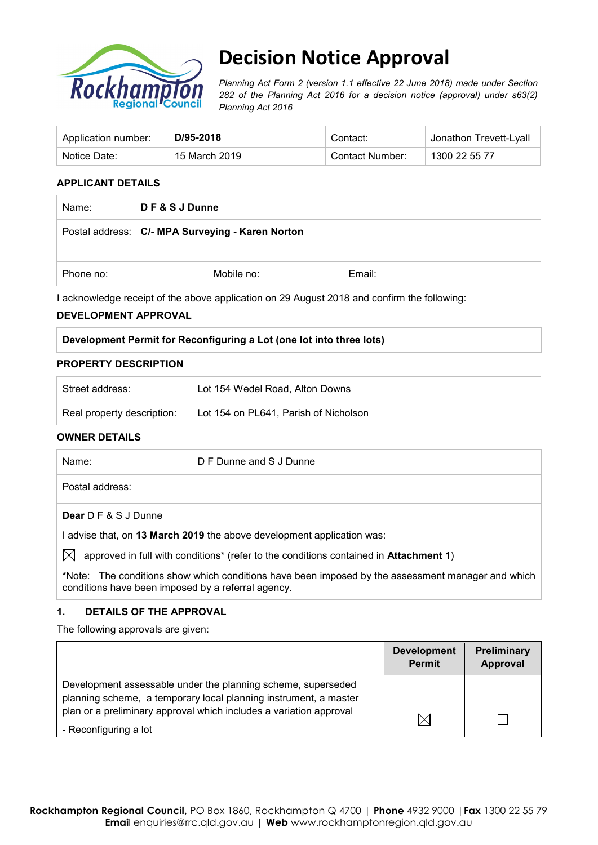

# **Decision Notice Approval**

*Planning Act Form 2 (version 1.1 effective 22 June 2018) made under Section 282 of the Planning Act 2016 for a decision notice (approval) under s63(2) Planning Act 2016*

| Application number: | D/95-2018     | Contact:        | Jonathon Trevett-Lyall |
|---------------------|---------------|-----------------|------------------------|
| Notice Date:        | 15 March 2019 | Contact Number: | 1300 22 55 77          |

#### **APPLICANT DETAILS**

| Name:     | DF&SJDunne                                       |        |
|-----------|--------------------------------------------------|--------|
|           | Postal address: C/- MPA Surveying - Karen Norton |        |
| Phone no: | Mobile no:                                       | Email: |

I acknowledge receipt of the above application on 29 August 2018 and confirm the following:

#### **DEVELOPMENT APPROVAL**

#### **Development Permit for Reconfiguring a Lot (one lot into three lots)**

#### **PROPERTY DESCRIPTION**

| Street address:            | Lot 154 Wedel Road, Alton Downs       |
|----------------------------|---------------------------------------|
| Real property description: | Lot 154 on PL641, Parish of Nicholson |

#### **OWNER DETAILS**

|              | Name:                                                                | D F Dunne and S J Dunne                                                                           |
|--------------|----------------------------------------------------------------------|---------------------------------------------------------------------------------------------------|
|              | Postal address:                                                      |                                                                                                   |
|              | <b>Dear</b> D F & S J Dunne                                          |                                                                                                   |
|              | advise that, on 13 March 2019 the above development application was: |                                                                                                   |
| $\mathbb{X}$ |                                                                      | approved in full with conditions* (refer to the conditions contained in Attachment 1)             |
|              |                                                                      | *Note: The conditions show which conditions have been imposed by the assessment manager and which |

#### **1. DETAILS OF THE APPROVAL**

conditions have been imposed by a referral agency.

The following approvals are given:

|                                                                                                                                                                                                        | <b>Development</b><br><b>Permit</b> | Preliminary<br>Approval |
|--------------------------------------------------------------------------------------------------------------------------------------------------------------------------------------------------------|-------------------------------------|-------------------------|
| Development assessable under the planning scheme, superseded<br>planning scheme, a temporary local planning instrument, a master<br>plan or a preliminary approval which includes a variation approval |                                     |                         |
| - Reconfiguring a lot                                                                                                                                                                                  | $\boxtimes$                         |                         |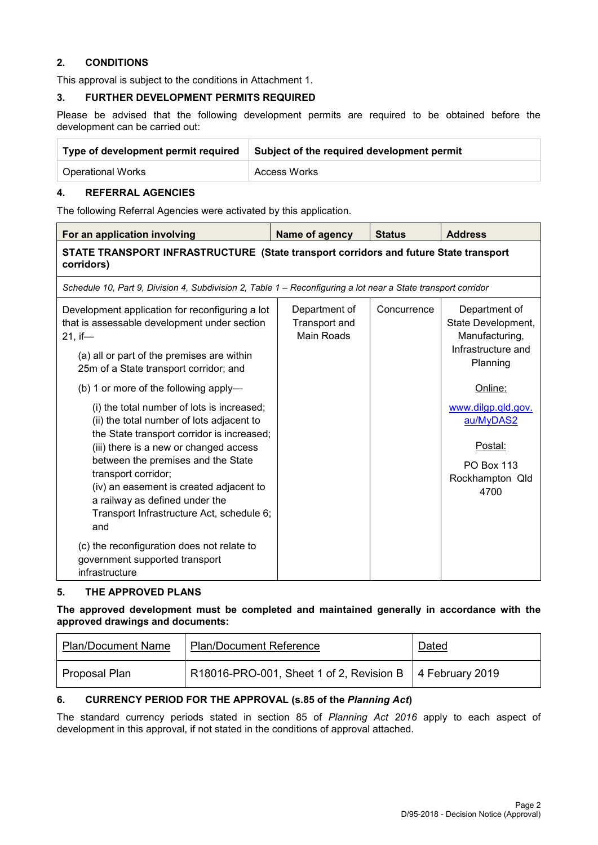### **2. CONDITIONS**

This approval is subject to the conditions in Attachment 1.

#### **3. FURTHER DEVELOPMENT PERMITS REQUIRED**

Please be advised that the following development permits are required to be obtained before the development can be carried out:

| Type of development permit required | Subject of the required development permit |  |
|-------------------------------------|--------------------------------------------|--|
| <b>Operational Works</b>            | <b>Access Works</b>                        |  |

#### **4. REFERRAL AGENCIES**

The following Referral Agencies were activated by this application.

| For an application involving                                                                                                                                                                                          | Name of agency                                             | <b>Status</b> | <b>Address</b>                                                                          |  |  |
|-----------------------------------------------------------------------------------------------------------------------------------------------------------------------------------------------------------------------|------------------------------------------------------------|---------------|-----------------------------------------------------------------------------------------|--|--|
| STATE TRANSPORT INFRASTRUCTURE (State transport corridors and future State transport<br>corridors)                                                                                                                    |                                                            |               |                                                                                         |  |  |
| Schedule 10, Part 9, Division 4, Subdivision 2, Table 1 - Reconfiguring a lot near a State transport corridor                                                                                                         |                                                            |               |                                                                                         |  |  |
| Development application for reconfiguring a lot<br>that is assessable development under section<br>$21.$ if-<br>(a) all or part of the premises are within<br>25m of a State transport corridor; and                  | Department of<br><b>Transport and</b><br><b>Main Roads</b> | Concurrence   | Department of<br>State Development,<br>Manufacturing,<br>Infrastructure and<br>Planning |  |  |
| (b) 1 or more of the following apply-                                                                                                                                                                                 |                                                            |               | Online:                                                                                 |  |  |
| (i) the total number of lots is increased;<br>(ii) the total number of lots adjacent to<br>the State transport corridor is increased;<br>(iii) there is a new or changed access<br>between the premises and the State |                                                            |               | www.dilgp.qld.gov.<br>au/MyDAS2<br>Postal:<br><b>PO Box 113</b>                         |  |  |
| transport corridor;<br>(iv) an easement is created adjacent to<br>a railway as defined under the<br>Transport Infrastructure Act, schedule 6;<br>and                                                                  |                                                            |               | Rockhampton Qld<br>4700                                                                 |  |  |
| (c) the reconfiguration does not relate to<br>government supported transport<br>infrastructure                                                                                                                        |                                                            |               |                                                                                         |  |  |

## **5. THE APPROVED PLANS**

**The approved development must be completed and maintained generally in accordance with the approved drawings and documents:**

| <b>Plan/Document Name</b> | <b>Plan/Document Reference</b>                             | Dated |
|---------------------------|------------------------------------------------------------|-------|
| Proposal Plan             | R18016-PRO-001, Sheet 1 of 2, Revision B   4 February 2019 |       |

#### **6. CURRENCY PERIOD FOR THE APPROVAL (s.85 of the** *Planning Act***)**

The standard currency periods stated in section 85 of *Planning Act 2016* apply to each aspect of development in this approval, if not stated in the conditions of approval attached.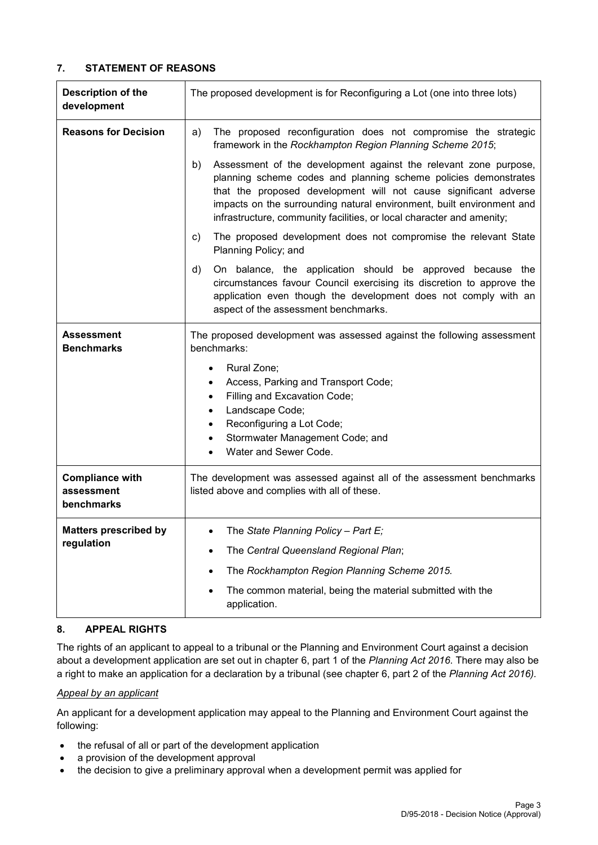### **7. STATEMENT OF REASONS**

| <b>Description of the</b><br>development           | The proposed development is for Reconfiguring a Lot (one into three lots)                                                                                                                                                                                                                                                                                                                                                                                                                                                                                                                                                                                                                                                                                                                                                                                     |  |
|----------------------------------------------------|---------------------------------------------------------------------------------------------------------------------------------------------------------------------------------------------------------------------------------------------------------------------------------------------------------------------------------------------------------------------------------------------------------------------------------------------------------------------------------------------------------------------------------------------------------------------------------------------------------------------------------------------------------------------------------------------------------------------------------------------------------------------------------------------------------------------------------------------------------------|--|
| <b>Reasons for Decision</b>                        | The proposed reconfiguration does not compromise the strategic<br>a)<br>framework in the Rockhampton Region Planning Scheme 2015;<br>Assessment of the development against the relevant zone purpose,<br>b)<br>planning scheme codes and planning scheme policies demonstrates<br>that the proposed development will not cause significant adverse<br>impacts on the surrounding natural environment, built environment and<br>infrastructure, community facilities, or local character and amenity;<br>The proposed development does not compromise the relevant State<br>C)<br>Planning Policy; and<br>On balance, the application should be approved because the<br>d)<br>circumstances favour Council exercising its discretion to approve the<br>application even though the development does not comply with an<br>aspect of the assessment benchmarks. |  |
| <b>Assessment</b><br><b>Benchmarks</b>             | The proposed development was assessed against the following assessment<br>benchmarks:<br>Rural Zone;<br>Access, Parking and Transport Code;<br>٠<br>Filling and Excavation Code;<br>Landscape Code;<br>Reconfiguring a Lot Code;<br>$\bullet$<br>Stormwater Management Code; and<br>Water and Sewer Code.                                                                                                                                                                                                                                                                                                                                                                                                                                                                                                                                                     |  |
| <b>Compliance with</b><br>assessment<br>benchmarks | The development was assessed against all of the assessment benchmarks<br>listed above and complies with all of these.                                                                                                                                                                                                                                                                                                                                                                                                                                                                                                                                                                                                                                                                                                                                         |  |
| <b>Matters prescribed by</b><br>regulation         | The State Planning Policy - Part E;<br>The Central Queensland Regional Plan;<br>The Rockhampton Region Planning Scheme 2015.<br>The common material, being the material submitted with the<br>application.                                                                                                                                                                                                                                                                                                                                                                                                                                                                                                                                                                                                                                                    |  |

#### **8. APPEAL RIGHTS**

The rights of an applicant to appeal to a tribunal or the Planning and Environment Court against a decision about a development application are set out in chapter 6, part 1 of the *Planning Act 2016*. There may also be a right to make an application for a declaration by a tribunal (see chapter 6, part 2 of the *Planning Act 2016).*

#### *Appeal by an applicant*

An applicant for a development application may appeal to the Planning and Environment Court against the following:

- the refusal of all or part of the development application
- a provision of the development approval
- the decision to give a preliminary approval when a development permit was applied for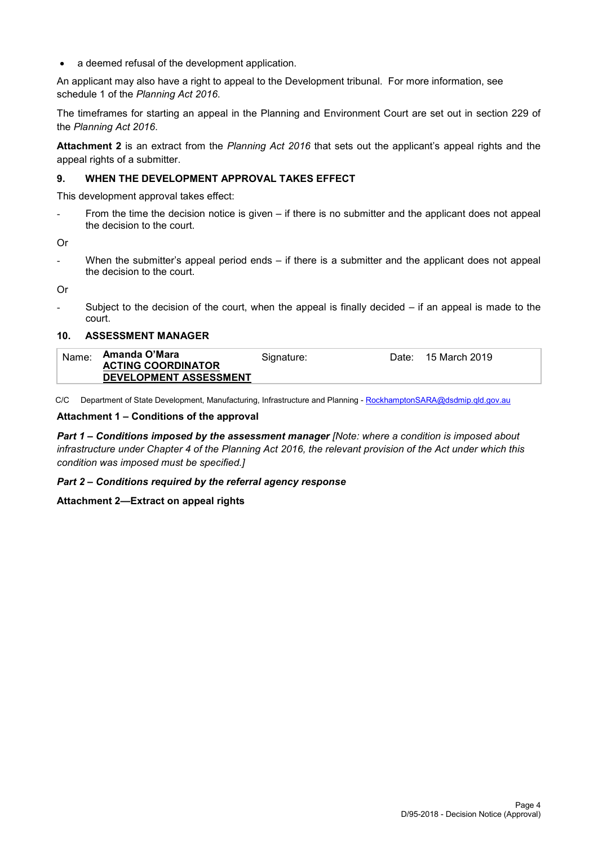• a deemed refusal of the development application.

An applicant may also have a right to appeal to the Development tribunal. For more information, see schedule 1 of the *Planning Act 2016*.

The timeframes for starting an appeal in the Planning and Environment Court are set out in section 229 of the *Planning Act 2016*.

**Attachment 2** is an extract from the *Planning Act 2016* that sets out the applicant's appeal rights and the appeal rights of a submitter.

#### **9. WHEN THE DEVELOPMENT APPROVAL TAKES EFFECT**

This development approval takes effect:

From the time the decision notice is given – if there is no submitter and the applicant does not appeal the decision to the court.

Or

- When the submitter's appeal period ends – if there is a submitter and the applicant does not appeal the decision to the court.

Or

Subject to the decision of the court, when the appeal is finally decided  $-$  if an appeal is made to the court.

#### **10. ASSESSMENT MANAGER**

| Name: | Amanda O'Mara             | Signature: | Date: | 15 March 2019 |
|-------|---------------------------|------------|-------|---------------|
|       | <b>ACTING COORDINATOR</b> |            |       |               |
|       | DEVELOPMENT ASSESSMENT    |            |       |               |

C/C Department of State Development, Manufacturing, Infrastructure and Planning - [RockhamptonSARA@dsdmip.qld.gov.au](mailto:RockhamptonSARA@dsdmip.qld.gov.au)

#### **Attachment 1 – Conditions of the approval**

*Part 1* **–** *Conditions imposed by the assessment manager [Note: where a condition is imposed about infrastructure under Chapter 4 of the Planning Act 2016, the relevant provision of the Act under which this condition was imposed must be specified.]*

#### *Part 2 – Conditions required by the referral agency response*

#### **Attachment 2—Extract on appeal rights**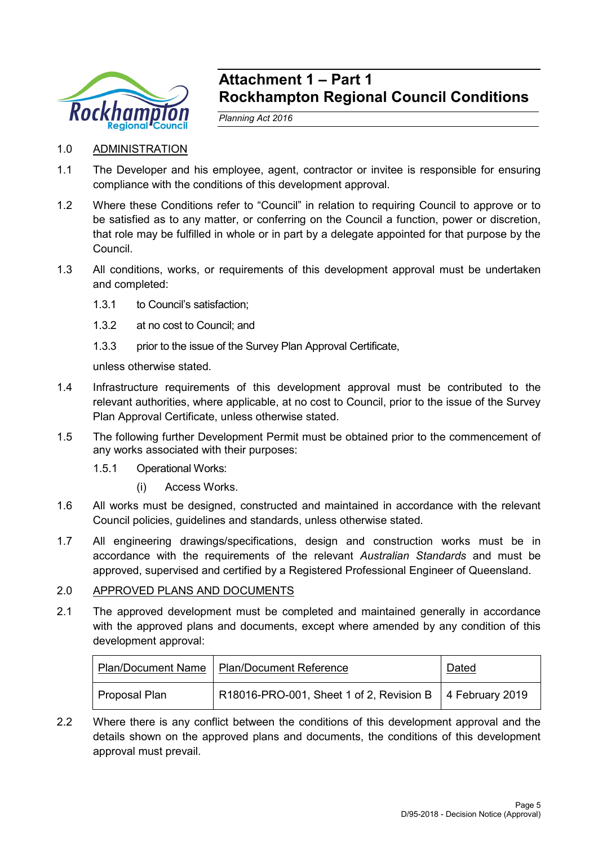

## **Attachment 1 – Part 1 Rockhampton Regional Council Conditions**

*Planning Act 2016*

- 1.0 ADMINISTRATION
- 1.1 The Developer and his employee, agent, contractor or invitee is responsible for ensuring compliance with the conditions of this development approval.
- 1.2 Where these Conditions refer to "Council" in relation to requiring Council to approve or to be satisfied as to any matter, or conferring on the Council a function, power or discretion, that role may be fulfilled in whole or in part by a delegate appointed for that purpose by the Council.
- 1.3 All conditions, works, or requirements of this development approval must be undertaken and completed:
	- 1.3.1 to Council's satisfaction;
	- 1.3.2 at no cost to Council; and
	- 1.3.3 prior to the issue of the Survey Plan Approval Certificate,

unless otherwise stated.

- 1.4 Infrastructure requirements of this development approval must be contributed to the relevant authorities, where applicable, at no cost to Council, prior to the issue of the Survey Plan Approval Certificate, unless otherwise stated.
- 1.5 The following further Development Permit must be obtained prior to the commencement of any works associated with their purposes:
	- 1.5.1 Operational Works:
		- (i) Access Works.
- 1.6 All works must be designed, constructed and maintained in accordance with the relevant Council policies, guidelines and standards, unless otherwise stated.
- 1.7 All engineering drawings/specifications, design and construction works must be in accordance with the requirements of the relevant *Australian Standards* and must be approved, supervised and certified by a Registered Professional Engineer of Queensland.

## 2.0 APPROVED PLANS AND DOCUMENTS

2.1 The approved development must be completed and maintained generally in accordance with the approved plans and documents, except where amended by any condition of this development approval:

|               | Plan/Document Name   Plan/Document Reference               | <b>Dated</b> |
|---------------|------------------------------------------------------------|--------------|
| Proposal Plan | R18016-PRO-001, Sheet 1 of 2, Revision B   4 February 2019 |              |

2.2 Where there is any conflict between the conditions of this development approval and the details shown on the approved plans and documents, the conditions of this development approval must prevail.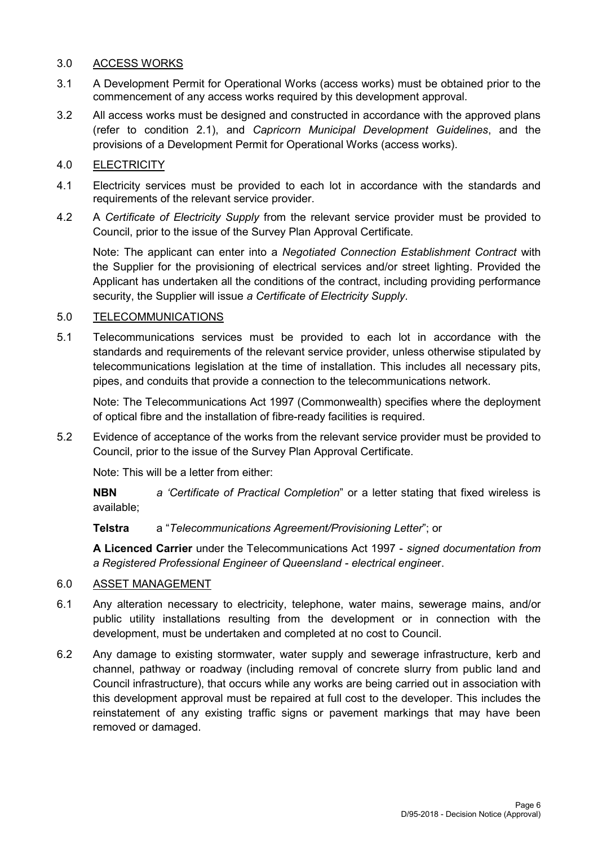## 3.0 ACCESS WORKS

- 3.1 A Development Permit for Operational Works (access works) must be obtained prior to the commencement of any access works required by this development approval.
- 3.2 All access works must be designed and constructed in accordance with the approved plans (refer to condition 2.1), and *Capricorn Municipal Development Guidelines*, and the provisions of a Development Permit for Operational Works (access works).

## 4.0 ELECTRICITY

- 4.1 Electricity services must be provided to each lot in accordance with the standards and requirements of the relevant service provider.
- 4.2 A *Certificate of Electricity Supply* from the relevant service provider must be provided to Council, prior to the issue of the Survey Plan Approval Certificate.

Note: The applicant can enter into a *Negotiated Connection Establishment Contract* with the Supplier for the provisioning of electrical services and/or street lighting. Provided the Applicant has undertaken all the conditions of the contract, including providing performance security, the Supplier will issue *a Certificate of Electricity Supply*.

## 5.0 TELECOMMUNICATIONS

5.1 Telecommunications services must be provided to each lot in accordance with the standards and requirements of the relevant service provider, unless otherwise stipulated by telecommunications legislation at the time of installation. This includes all necessary pits, pipes, and conduits that provide a connection to the telecommunications network.

Note: The Telecommunications Act 1997 (Commonwealth) specifies where the deployment of optical fibre and the installation of fibre-ready facilities is required.

5.2 Evidence of acceptance of the works from the relevant service provider must be provided to Council, prior to the issue of the Survey Plan Approval Certificate.

Note: This will be a letter from either:

**NBN** *a 'Certificate of Practical Completion*" or a letter stating that fixed wireless is available;

**Telstra** a "*Telecommunications Agreement/Provisioning Letter*"; or

**A Licenced Carrier** under the Telecommunications Act 1997 - *signed documentation from a Registered Professional Engineer of Queensland - electrical enginee*r.

## 6.0 ASSET MANAGEMENT

- 6.1 Any alteration necessary to electricity, telephone, water mains, sewerage mains, and/or public utility installations resulting from the development or in connection with the development, must be undertaken and completed at no cost to Council.
- 6.2 Any damage to existing stormwater, water supply and sewerage infrastructure, kerb and channel, pathway or roadway (including removal of concrete slurry from public land and Council infrastructure), that occurs while any works are being carried out in association with this development approval must be repaired at full cost to the developer. This includes the reinstatement of any existing traffic signs or pavement markings that may have been removed or damaged.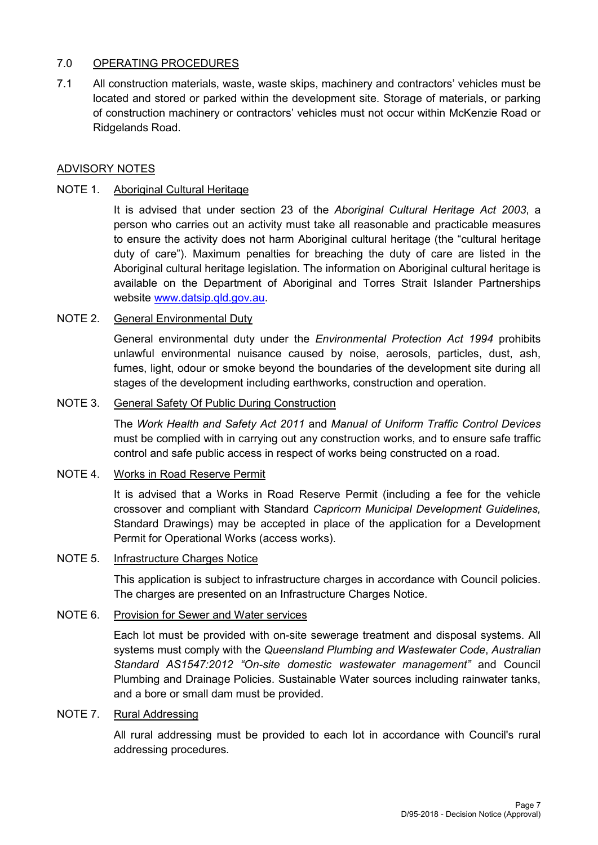## 7.0 OPERATING PROCEDURES

7.1 All construction materials, waste, waste skips, machinery and contractors' vehicles must be located and stored or parked within the development site. Storage of materials, or parking of construction machinery or contractors' vehicles must not occur within McKenzie Road or Ridgelands Road.

## ADVISORY NOTES

### NOTE 1. Aboriginal Cultural Heritage

It is advised that under section 23 of the *Aboriginal Cultural Heritage Act 2003*, a person who carries out an activity must take all reasonable and practicable measures to ensure the activity does not harm Aboriginal cultural heritage (the "cultural heritage duty of care"). Maximum penalties for breaching the duty of care are listed in the Aboriginal cultural heritage legislation. The information on Aboriginal cultural heritage is available on the Department of Aboriginal and Torres Strait Islander Partnerships website [www.datsip.qld.gov.au.](http://www.datsip.qld.gov.au/)

#### NOTE 2. General Environmental Duty

General environmental duty under the *Environmental Protection Act 1994* prohibits unlawful environmental nuisance caused by noise, aerosols, particles, dust, ash, fumes, light, odour or smoke beyond the boundaries of the development site during all stages of the development including earthworks, construction and operation.

#### NOTE 3. General Safety Of Public During Construction

The *Work Health and Safety Act 2011* and *Manual of Uniform Traffic Control Devices* must be complied with in carrying out any construction works, and to ensure safe traffic control and safe public access in respect of works being constructed on a road.

#### NOTE 4. Works in Road Reserve Permit

It is advised that a Works in Road Reserve Permit (including a fee for the vehicle crossover and compliant with Standard *Capricorn Municipal Development Guidelines,* Standard Drawings) may be accepted in place of the application for a Development Permit for Operational Works (access works).

#### NOTE 5. Infrastructure Charges Notice

This application is subject to infrastructure charges in accordance with Council policies. The charges are presented on an Infrastructure Charges Notice.

### NOTE 6. Provision for Sewer and Water services

Each lot must be provided with on-site sewerage treatment and disposal systems. All systems must comply with the *Queensland Plumbing and Wastewater Code*, *Australian Standard AS1547:2012 "On-site domestic wastewater management"* and Council Plumbing and Drainage Policies. Sustainable Water sources including rainwater tanks, and a bore or small dam must be provided.

#### NOTE 7. Rural Addressing

All rural addressing must be provided to each lot in accordance with Council's rural addressing procedures.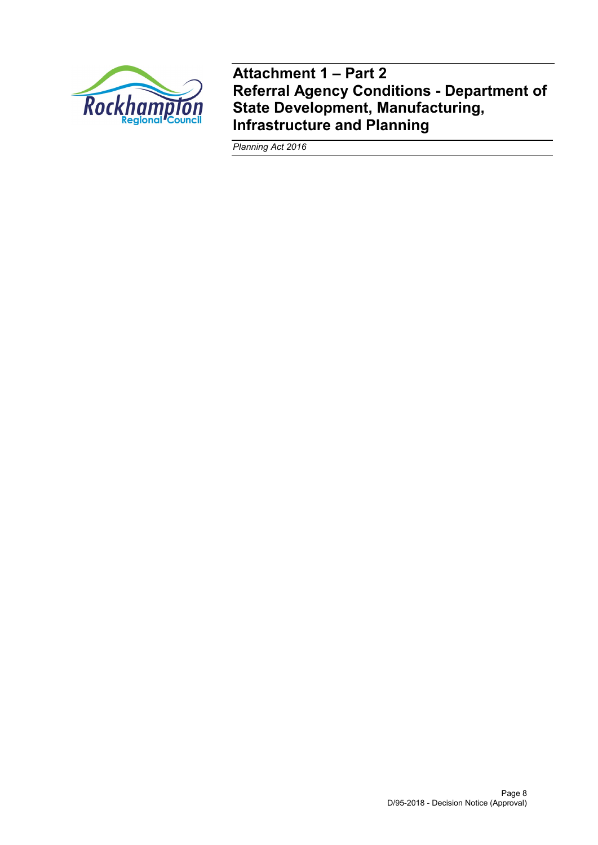

**Attachment 1 – Part 2 Referral Agency Conditions - Department of State Development, Manufacturing, Infrastructure and Planning**

*Planning Act 2016*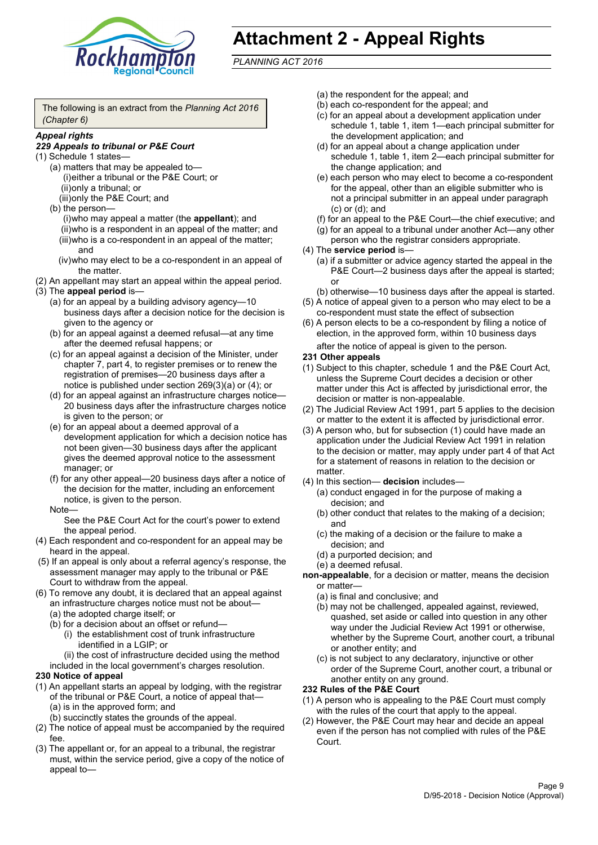

# **Attachment 2 - Appeal Rights**

*PLANNING ACT 2016*

The following is an extract from the *Planning Act 2016 (Chapter 6)*

#### *Appeal rights*

#### *229 Appeals to tribunal or P&E Court*

- (1) Schedule 1 states—
	- (a) matters that may be appealed to— (i)either a tribunal or the P&E Court; or (ii)only a tribunal; or (iii)only the P&E Court; and
	- (b) the person—

(i)who may appeal a matter (the **appellant**); and (ii)who is a respondent in an appeal of the matter; and (iii)who is a co-respondent in an appeal of the matter; and

- (iv)who may elect to be a co-respondent in an appeal of the matter.
- (2) An appellant may start an appeal within the appeal period.
- (3) The **appeal period** is—
	- (a) for an appeal by a building advisory agency—10 business days after a decision notice for the decision is given to the agency or
	- (b) for an appeal against a deemed refusal—at any time after the deemed refusal happens; or
	- (c) for an appeal against a decision of the Minister, under chapter 7, part 4, to register premises or to renew the registration of premises—20 business days after a notice is published under section 269(3)(a) or (4); or
	- (d) for an appeal against an infrastructure charges notice— 20 business days after the infrastructure charges notice is given to the person; or
	- (e) for an appeal about a deemed approval of a development application for which a decision notice has not been given—30 business days after the applicant gives the deemed approval notice to the assessment manager; or
	- (f) for any other appeal—20 business days after a notice of the decision for the matter, including an enforcement notice, is given to the person.

#### Note—

See the P&E Court Act for the court's power to extend the appeal period.

- (4) Each respondent and co-respondent for an appeal may be heard in the appeal.
- (5) If an appeal is only about a referral agency's response, the assessment manager may apply to the tribunal or P&E Court to withdraw from the appeal.
- (6) To remove any doubt, it is declared that an appeal against an infrastructure charges notice must not be about—
	- (a) the adopted charge itself; or
	- (b) for a decision about an offset or refund—
		- (i) the establishment cost of trunk infrastructure identified in a LGIP; or

(ii) the cost of infrastructure decided using the method

included in the local government's charges resolution.

- **230 Notice of appeal**
- (1) An appellant starts an appeal by lodging, with the registrar of the tribunal or P&E Court, a notice of appeal that—
	- (a) is in the approved form; and
	- (b) succinctly states the grounds of the appeal.
- (2) The notice of appeal must be accompanied by the required fee.
- (3) The appellant or, for an appeal to a tribunal, the registrar must, within the service period, give a copy of the notice of appeal to—
- (a) the respondent for the appeal; and
- (b) each co-respondent for the appeal; and
- (c) for an appeal about a development application under schedule 1, table 1, item 1—each principal submitter for the development application; and
- (d) for an appeal about a change application under schedule 1, table 1, item 2—each principal submitter for the change application; and
- (e) each person who may elect to become a co-respondent for the appeal, other than an eligible submitter who is not a principal submitter in an appeal under paragraph (c) or (d); and
- (f) for an appeal to the P&E Court—the chief executive; and
- (g) for an appeal to a tribunal under another Act—any other person who the registrar considers appropriate.
- (4) The **service period** is—
	- (a) if a submitter or advice agency started the appeal in the P&E Court—2 business days after the appeal is started; or
	- (b) otherwise—10 business days after the appeal is started.
- (5) A notice of appeal given to a person who may elect to be a co-respondent must state the effect of subsection
- (6) A person elects to be a co-respondent by filing a notice of election, in the approved form, within 10 business days after the notice of appeal is given to the person*.*
- **231 Other appeals**
- (1) Subject to this chapter, schedule 1 and the P&E Court Act, unless the Supreme Court decides a decision or other matter under this Act is affected by jurisdictional error, the decision or matter is non-appealable.
- (2) The Judicial Review Act 1991, part 5 applies to the decision or matter to the extent it is affected by jurisdictional error.
- (3) A person who, but for subsection (1) could have made an application under the Judicial Review Act 1991 in relation to the decision or matter, may apply under part 4 of that Act for a statement of reasons in relation to the decision or matter.
- (4) In this section— **decision** includes—
	- (a) conduct engaged in for the purpose of making a decision; and
	- (b) other conduct that relates to the making of a decision; and
	- (c) the making of a decision or the failure to make a decision; and
	- (d) a purported decision; and
	- (e) a deemed refusal.

**non-appealable**, for a decision or matter, means the decision or matter—

- (a) is final and conclusive; and
- (b) may not be challenged, appealed against, reviewed, quashed, set aside or called into question in any other way under the Judicial Review Act 1991 or otherwise, whether by the Supreme Court, another court, a tribunal or another entity; and
- (c) is not subject to any declaratory, injunctive or other order of the Supreme Court, another court, a tribunal or another entity on any ground.

#### **232 Rules of the P&E Court**

- (1) A person who is appealing to the P&E Court must comply with the rules of the court that apply to the appeal.
- (2) However, the P&E Court may hear and decide an appeal even if the person has not complied with rules of the P&E Court.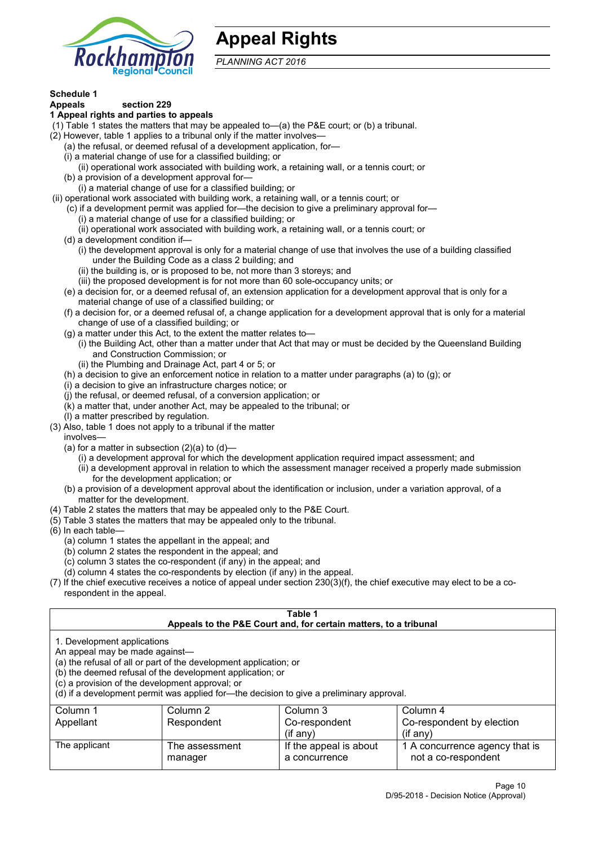

## **Appeal Rights**

*PLANNING ACT 2016*

# **Schedule 1**

#### **Appeals section 229 1 Appeal rights and parties to appeals**

- (1) Table 1 states the matters that may be appealed to—(a) the P&E court; or (b) a tribunal.
- (2) However, table 1 applies to a tribunal only if the matter involves—
	- (a) the refusal, or deemed refusal of a development application, for—
	- (i) a material change of use for a classified building; or
	- (ii) operational work associated with building work, a retaining wall, or a tennis court; or
	- (b) a provision of a development approval for—
	- (i) a material change of use for a classified building; or
- (ii) operational work associated with building work, a retaining wall, or a tennis court; or
	- (c) if a development permit was applied for—the decision to give a preliminary approval for—
		- (i) a material change of use for a classified building; or
	- (ii) operational work associated with building work, a retaining wall, or a tennis court; or
	- (d) a development condition if—
		- (i) the development approval is only for a material change of use that involves the use of a building classified under the Building Code as a class 2 building; and
		- (ii) the building is, or is proposed to be, not more than 3 storeys; and
		- (iii) the proposed development is for not more than 60 sole-occupancy units; or
	- (e) a decision for, or a deemed refusal of, an extension application for a development approval that is only for a material change of use of a classified building; or
	- (f) a decision for, or a deemed refusal of, a change application for a development approval that is only for a material change of use of a classified building; or
	- (g) a matter under this Act, to the extent the matter relates to—
		- (i) the Building Act, other than a matter under that Act that may or must be decided by the Queensland Building and Construction Commission; or
		- (ii) the Plumbing and Drainage Act, part 4 or 5; or
	- (h) a decision to give an enforcement notice in relation to a matter under paragraphs (a) to (g); or
	- (i) a decision to give an infrastructure charges notice; or
	- (j) the refusal, or deemed refusal, of a conversion application; or
	- (k) a matter that, under another Act, may be appealed to the tribunal; or
	- (l) a matter prescribed by regulation.
- (3) Also, table 1 does not apply to a tribunal if the matter

involves—

- (a) for a matter in subsection  $(2)(a)$  to  $(d)$ 
	- (i) a development approval for which the development application required impact assessment; and
	- (ii) a development approval in relation to which the assessment manager received a properly made submission for the development application; or
- (b) a provision of a development approval about the identification or inclusion, under a variation approval, of a matter for the development.
- (4) Table 2 states the matters that may be appealed only to the P&E Court.
- (5) Table 3 states the matters that may be appealed only to the tribunal.
- (6) In each table—
	- (a) column 1 states the appellant in the appeal; and
	- (b) column 2 states the respondent in the appeal; and
	- (c) column 3 states the co-respondent (if any) in the appeal; and
	- (d) column 4 states the co-respondents by election (if any) in the appeal.
- (7) If the chief executive receives a notice of appeal under section 230(3)(f), the chief executive may elect to be a corespondent in the appeal.

| Table 1                                                                                                                                                                                                                                                                                                                                                                                                            |                           |                                         |                                                         |  |
|--------------------------------------------------------------------------------------------------------------------------------------------------------------------------------------------------------------------------------------------------------------------------------------------------------------------------------------------------------------------------------------------------------------------|---------------------------|-----------------------------------------|---------------------------------------------------------|--|
| Appeals to the P&E Court and, for certain matters, to a tribunal<br>1. Development applications<br>An appeal may be made against-<br>(a) the refusal of all or part of the development application; or<br>(b) the deemed refusal of the development application; or<br>(c) a provision of the development approval; or<br>(d) if a development permit was applied for-the decision to give a preliminary approval. |                           |                                         |                                                         |  |
| Column 1<br>Appellant                                                                                                                                                                                                                                                                                                                                                                                              | Column 2<br>Respondent    | Column 3<br>Co-respondent<br>(if any)   | Column 4<br>Co-respondent by election<br>$($ if any $)$ |  |
| The applicant                                                                                                                                                                                                                                                                                                                                                                                                      | The assessment<br>manager | If the appeal is about<br>a concurrence | 1 A concurrence agency that is<br>not a co-respondent   |  |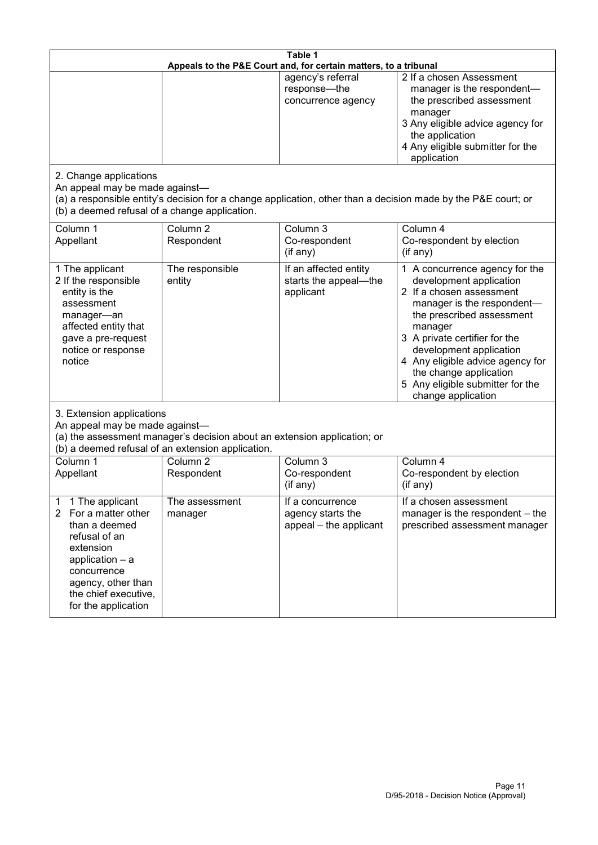| Table 1<br>Appeals to the P&E Court and, for certain matters, to a tribunal                                                                                                                                      |                                   |                                                                 |                                                                                                                                                                                                                                                                                                                                                 |  |
|------------------------------------------------------------------------------------------------------------------------------------------------------------------------------------------------------------------|-----------------------------------|-----------------------------------------------------------------|-------------------------------------------------------------------------------------------------------------------------------------------------------------------------------------------------------------------------------------------------------------------------------------------------------------------------------------------------|--|
|                                                                                                                                                                                                                  |                                   | agency's referral<br>response-the<br>concurrence agency         | 2 If a chosen Assessment<br>manager is the respondent-<br>the prescribed assessment<br>manager<br>3 Any eligible advice agency for<br>the application<br>4 Any eligible submitter for the<br>application                                                                                                                                        |  |
| 2. Change applications<br>An appeal may be made against-<br>(b) a deemed refusal of a change application.                                                                                                        |                                   |                                                                 | (a) a responsible entity's decision for a change application, other than a decision made by the P&E court; or                                                                                                                                                                                                                                   |  |
| Column 1<br>Appellant                                                                                                                                                                                            | Column <sub>2</sub><br>Respondent | Column 3<br>Co-respondent<br>(if any)                           | Column 4<br>Co-respondent by election<br>(if any)                                                                                                                                                                                                                                                                                               |  |
| 1 The applicant<br>2 If the responsible<br>entity is the<br>assessment<br>manager-an<br>affected entity that<br>gave a pre-request<br>notice or response<br>notice                                               | The responsible<br>entity         | If an affected entity<br>starts the appeal-the<br>applicant     | 1 A concurrence agency for the<br>development application<br>2 If a chosen assessment<br>manager is the respondent-<br>the prescribed assessment<br>manager<br>3 A private certifier for the<br>development application<br>4 Any eligible advice agency for<br>the change application<br>5 Any eligible submitter for the<br>change application |  |
| 3. Extension applications<br>An appeal may be made against-<br>(a) the assessment manager's decision about an extension application; or<br>(b) a deemed refusal of an extension application.                     |                                   |                                                                 |                                                                                                                                                                                                                                                                                                                                                 |  |
| Column 1<br>Appellant                                                                                                                                                                                            | Column <sub>2</sub><br>Respondent | Column 3<br>Co-respondent<br>(if any)                           | Column 4<br>Co-respondent by election<br>(if any)                                                                                                                                                                                                                                                                                               |  |
| 1 The applicant<br>1<br>For a matter other<br>$\mathbf{2}$<br>than a deemed<br>refusal of an<br>extension<br>application - a<br>concurrence<br>agency, other than<br>the chief executive,<br>for the application | The assessment<br>manager         | If a concurrence<br>agency starts the<br>appeal - the applicant | If a chosen assessment<br>manager is the respondent – the<br>prescribed assessment manager                                                                                                                                                                                                                                                      |  |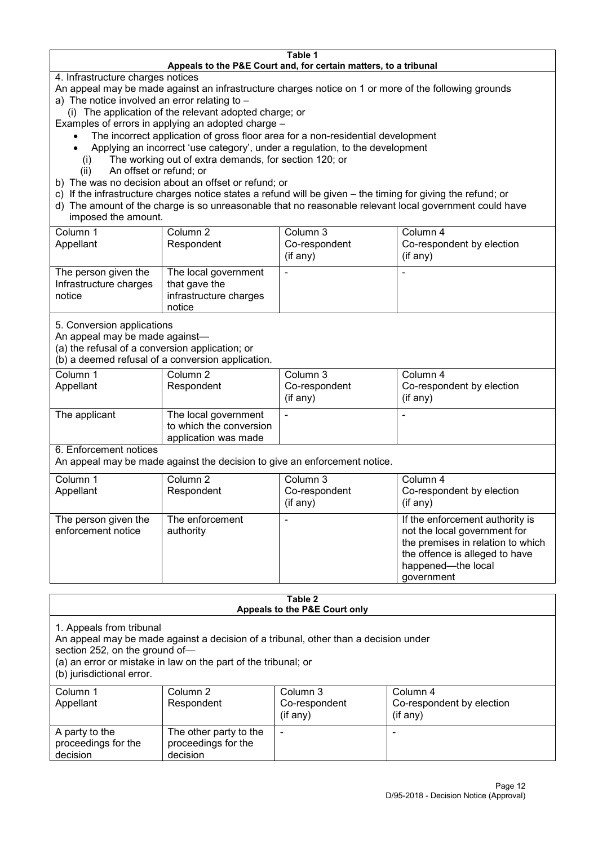#### **Table 1 Appeals to the P&E Court and, for certain matters, to a tribunal**

4. Infrastructure charges notices

- An appeal may be made against an infrastructure charges notice on 1 or more of the following grounds
- a) The notice involved an error relating to
	- (i) The application of the relevant adopted charge; or
- Examples of errors in applying an adopted charge
	- The incorrect application of gross floor area for a non-residential development
	- Applying an incorrect 'use category', under a regulation, to the development
	- (i) The working out of extra demands, for section 120; or
	- (ii) An offset or refund; or
- b) The was no decision about an offset or refund; or
- c) If the infrastructure charges notice states a refund will be given the timing for giving the refund; or
- d) The amount of the charge is so unreasonable that no reasonable relevant local government could have
- imposed the amount.

| Column 1                                                 | Column 2                                                                  | Column 3      | Column 4                  |
|----------------------------------------------------------|---------------------------------------------------------------------------|---------------|---------------------------|
| Appellant                                                | Respondent                                                                | Co-respondent | Co-respondent by election |
|                                                          |                                                                           | (if any)      | (if any)                  |
| The person given the<br>Infrastructure charges<br>notice | The local government<br>that gave the<br>infrastructure charges<br>notice |               | -                         |

5. Conversion applications

An appeal may be made against—

(a) the refusal of a conversion application; or

(b) a deemed refusal of a conversion application.

| Column 1<br>Appellant | Column 2<br>Respondent                                                  | Column 3<br>Co-respondent | Column 4<br>Co-respondent by election |
|-----------------------|-------------------------------------------------------------------------|---------------------------|---------------------------------------|
|                       |                                                                         | $($ if any $)$            | $(if$ any)                            |
| The applicant         | The local government<br>to which the conversion<br>application was made |                           |                                       |

6. Enforcement notices

An appeal may be made against the decision to give an enforcement notice.

| Column 1<br>Appellant                      | Column 2<br>Respondent       | Column 3<br>Co-respondent<br>(if any) | Column 4<br>Co-respondent by election<br>(if any)                                                                                                                          |
|--------------------------------------------|------------------------------|---------------------------------------|----------------------------------------------------------------------------------------------------------------------------------------------------------------------------|
| The person given the<br>enforcement notice | The enforcement<br>authority |                                       | If the enforcement authority is<br>not the local government for<br>the premises in relation to which<br>the offence is alleged to have<br>happened-the local<br>government |

#### **Table 2 Appeals to the P&E Court only**

1. Appeals from tribunal

An appeal may be made against a decision of a tribunal, other than a decision under

section 252, on the ground of—

(a) an error or mistake in law on the part of the tribunal; or

(b) jurisdictional error.

| Column 1<br>Appellant                             | Column 2<br>Respondent                                    | Column 3<br>Co-respondent<br>$($ if any $)$ | Column 4<br>Co-respondent by election<br>$($ if any $)$ |
|---------------------------------------------------|-----------------------------------------------------------|---------------------------------------------|---------------------------------------------------------|
| A party to the<br>proceedings for the<br>decision | The other party to the<br>proceedings for the<br>decision | -                                           |                                                         |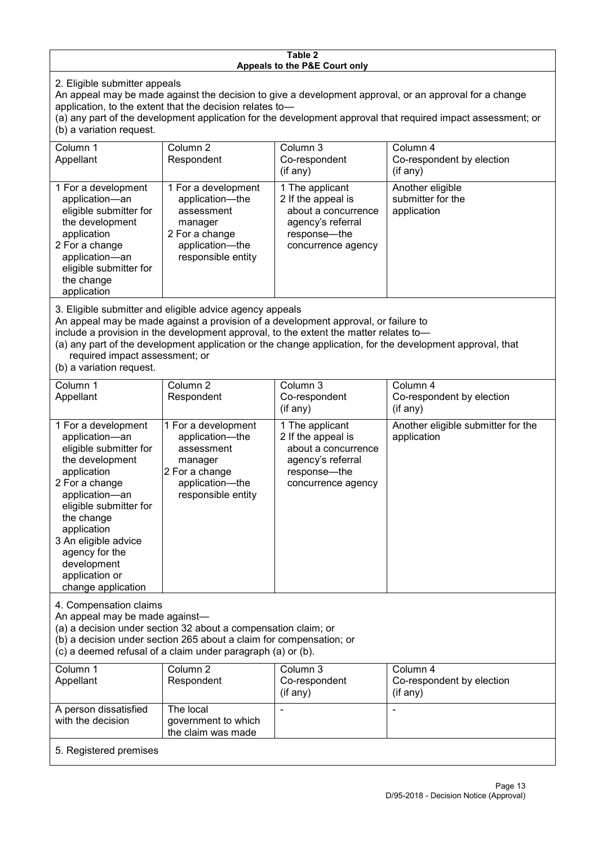#### **Table 2 Appeals to the P&E Court only**

2. Eligible submitter appeals

An appeal may be made against the decision to give a development approval, or an approval for a change application, to the extent that the decision relates to—

(a) any part of the development application for the development approval that required impact assessment; or (b) a variation request.

| Column 1<br>Appellant                                                                                                                                                                                                                   | Column 2<br>Respondent                                                                                                     | Column 3<br>Co-respondent<br>$(i$ f any $)$                                                                             | Column 4<br>Co-respondent by election<br>(if any)    |
|-----------------------------------------------------------------------------------------------------------------------------------------------------------------------------------------------------------------------------------------|----------------------------------------------------------------------------------------------------------------------------|-------------------------------------------------------------------------------------------------------------------------|------------------------------------------------------|
| 1 For a development<br>application-an<br>eligible submitter for<br>the development<br>application<br>2 For a change<br>application-an<br>eligible submitter for<br>the change<br>application                                            | 1 For a development<br>application-the<br>assessment<br>manager<br>2 For a change<br>application—the<br>responsible entity | 1 The applicant<br>2 If the appeal is<br>about a concurrence<br>agency's referral<br>response—the<br>concurrence agency | Another eligible<br>submitter for the<br>application |
| 3. Eligible submitter and eligible advice agency appeals<br>An appeal may be made against a provision of a development approval, or failure to<br>include a provision in the development approval, to the extent the matter relates to- |                                                                                                                            |                                                                                                                         |                                                      |

(a) any part of the development application or the change application, for the development approval, that required impact assessment; or

(b) a variation request.

| Column 1                                                                                                                                                                                                                                                                                      | Column 2                                                                                                                   | Column 3                                                                                                                  | Column 4                                          |  |
|-----------------------------------------------------------------------------------------------------------------------------------------------------------------------------------------------------------------------------------------------------------------------------------------------|----------------------------------------------------------------------------------------------------------------------------|---------------------------------------------------------------------------------------------------------------------------|---------------------------------------------------|--|
| Appellant                                                                                                                                                                                                                                                                                     | Respondent                                                                                                                 | Co-respondent                                                                                                             | Co-respondent by election                         |  |
|                                                                                                                                                                                                                                                                                               |                                                                                                                            | (if any)                                                                                                                  | (if any)                                          |  |
| 1 For a development<br>application-an<br>eligible submitter for<br>the development<br>application<br>2 For a change<br>application-an<br>eligible submitter for<br>the change<br>application<br>3 An eligible advice<br>agency for the<br>development<br>application or<br>change application | 1 For a development<br>application-the<br>assessment<br>manager<br>2 For a change<br>application-the<br>responsible entity | 1 The applicant<br>2 If the appeal is<br>about a concurrence<br>agency's referral<br>response---the<br>concurrence agency | Another eligible submitter for the<br>application |  |
| 4. Compensation claims<br>An appeal may be made against-<br>(a) a decision under section 32 about a compensation claim; or<br>(b) a decision under section 265 about a claim for compensation; or<br>(c) a deemed refusal of a claim under paragraph (a) or (b).                              |                                                                                                                            |                                                                                                                           |                                                   |  |
| Column 1                                                                                                                                                                                                                                                                                      | Column 2                                                                                                                   | Column 3                                                                                                                  | Column 4                                          |  |
| Appellant                                                                                                                                                                                                                                                                                     | Respondent                                                                                                                 | Co-respondent                                                                                                             | Co-respondent by election                         |  |
|                                                                                                                                                                                                                                                                                               |                                                                                                                            | (if any)                                                                                                                  | (if any)                                          |  |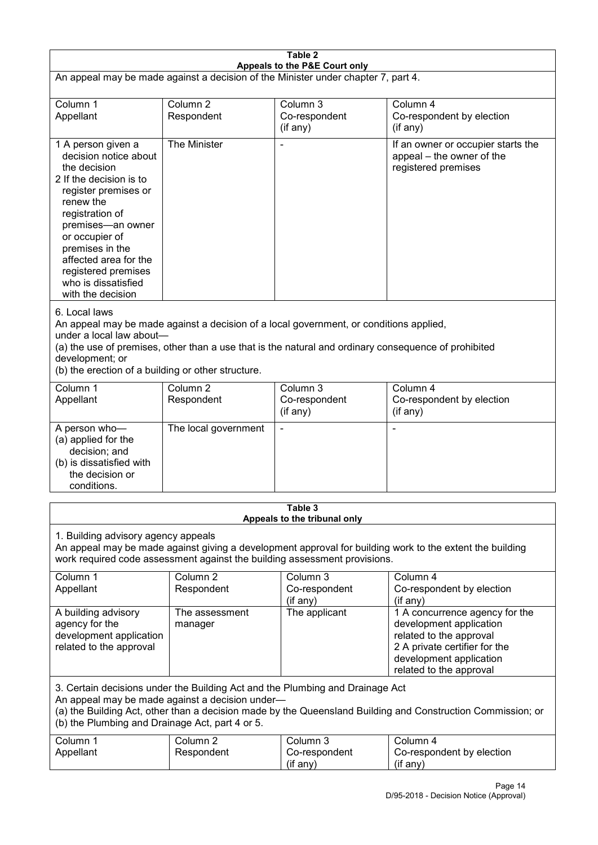| Table 2<br>Appeals to the P&E Court only                                                                                                                                                                                                                                                                             |                                   |                                         |                                                                                                                                                                             |  |
|----------------------------------------------------------------------------------------------------------------------------------------------------------------------------------------------------------------------------------------------------------------------------------------------------------------------|-----------------------------------|-----------------------------------------|-----------------------------------------------------------------------------------------------------------------------------------------------------------------------------|--|
| An appeal may be made against a decision of the Minister under chapter 7, part 4.                                                                                                                                                                                                                                    |                                   |                                         |                                                                                                                                                                             |  |
| Column 1<br>Appellant                                                                                                                                                                                                                                                                                                | Column <sub>2</sub><br>Respondent | Column 3<br>Co-respondent<br>(if any)   | Column 4<br>Co-respondent by election<br>(if any)                                                                                                                           |  |
| 1 A person given a<br>decision notice about<br>the decision<br>2 If the decision is to<br>register premises or<br>renew the<br>registration of<br>premises-an owner<br>or occupier of<br>premises in the<br>affected area for the<br>registered premises<br>who is dissatisfied<br>with the decision                 | The Minister                      |                                         | If an owner or occupier starts the<br>appeal – the owner of the<br>registered premises                                                                                      |  |
| 6. Local laws<br>An appeal may be made against a decision of a local government, or conditions applied,<br>under a local law about-<br>(a) the use of premises, other than a use that is the natural and ordinary consequence of prohibited<br>development; or<br>(b) the erection of a building or other structure. |                                   |                                         |                                                                                                                                                                             |  |
| Column 1<br>Appellant                                                                                                                                                                                                                                                                                                | Column <sub>2</sub><br>Respondent | Column $3$<br>Co-respondent<br>(if any) | Column 4<br>Co-respondent by election<br>(if any)                                                                                                                           |  |
| A person who-<br>(a) applied for the<br>decision; and<br>(b) is dissatisfied with<br>the decision or<br>conditions.                                                                                                                                                                                                  | The local government              |                                         | L,                                                                                                                                                                          |  |
|                                                                                                                                                                                                                                                                                                                      |                                   | Table 3<br>Appeals to the tribunal only |                                                                                                                                                                             |  |
| 1. Building advisory agency appeals<br>An appeal may be made against giving a development approval for building work to the extent the building<br>work required code assessment against the building assessment provisions.                                                                                         |                                   |                                         |                                                                                                                                                                             |  |
| Column 1<br>Appellant                                                                                                                                                                                                                                                                                                | Column <sub>2</sub><br>Respondent | Column 3<br>Co-respondent<br>(if any)   | Column 4<br>Co-respondent by election<br>(if any)                                                                                                                           |  |
| A building advisory<br>agency for the<br>development application<br>related to the approval                                                                                                                                                                                                                          | The assessment<br>manager         | The applicant                           | 1 A concurrence agency for the<br>development application<br>related to the approval<br>2 A private certifier for the<br>development application<br>related to the approval |  |
| 3. Certain decisions under the Building Act and the Plumbing and Drainage Act<br>An appeal may be made against a decision under-<br>(a) the Building Act, other than a decision made by the Queensland Building and Construction Commission; or<br>(b) the Plumbing and Drainage Act, part 4 or 5.                   |                                   |                                         |                                                                                                                                                                             |  |
| Column 1<br>Appellant                                                                                                                                                                                                                                                                                                | Column <sub>2</sub><br>Respondent | Column 3<br>Co-respondent<br>(if any)   | Column 4<br>Co-respondent by election<br>(if any)                                                                                                                           |  |